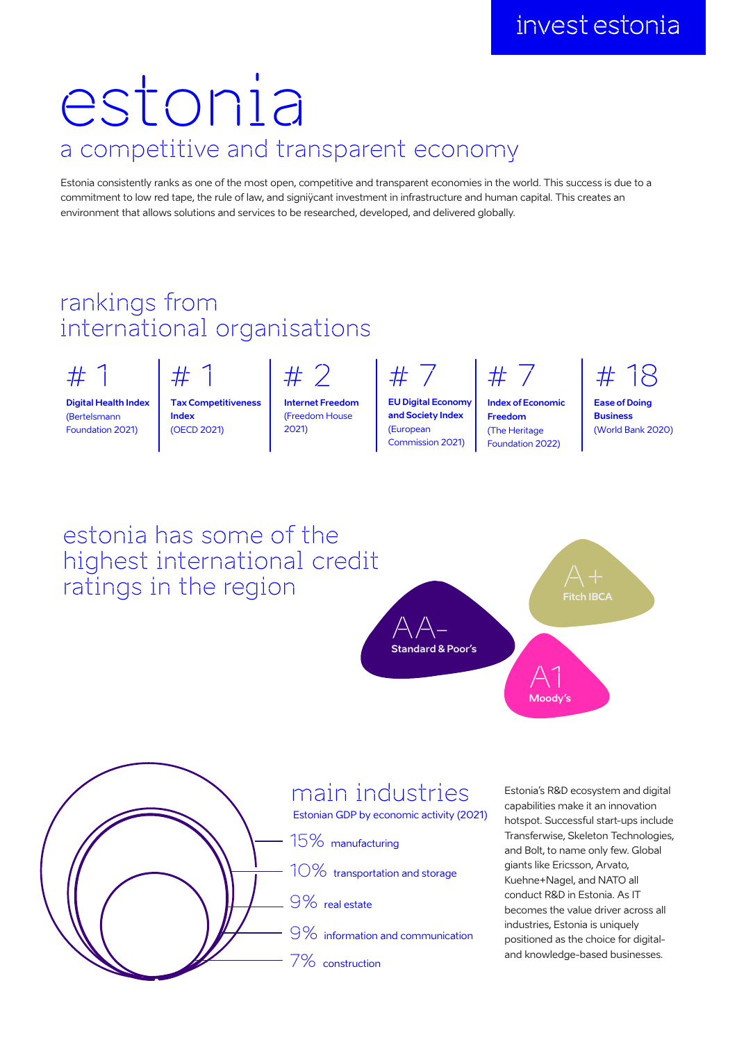## a competitive and transparent economy estonia

Estonia consistently ranks as one of the most open, competitive and transparent economies in the world. This success is due to a commitment to low red tape, the rule of law, and signiÿcant investment in infrastructure and human capital. This creates an environment that allows solutions and services to be researched, developed, and delivered globally.

## rankings from international organisations

# 1

**Digital Health Index** (Bertelsmann Foundation 2021)

 $#$ **Tax Competitiveness Index** 

(OECD 2021)

# 2 **Internet Freedom** (Freedom House 2021)

# 7

**EU Digital Economy and Society Index** (European Commission 2021)

# 7

**Index of Economic Freedom** (The Heritage Foundation 2022)

# 18

**Ease of Doing Business** (World Bank 2020)





ratings in the region

## main industries

Estonian GDP by economic activity (2021)

15% manufacturing

10% transportation and storage

 $-9\%$  real estate

9% information and communication

7% construction

Estonia's R&D ecosystem and digital capabilities make it an innovation hotspot. Successful start-ups include Transferwise, Skeleton Technologies, and Bolt, to name only few. Global giants like Ericsson, Arvato, Kuehne+Nagel, and NATO all conduct R&D in Estonia. As IT becomes the value driver across all industries, Estonia is uniquely positioned as the choice for digitaland knowledge-based businesses.